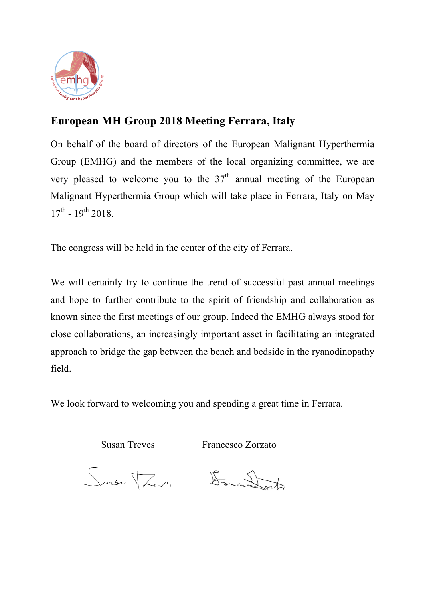

# **European MH Group 2018 Meeting Ferrara, Italy**

On behalf of the board of directors of the European Malignant Hyperthermia Group (EMHG) and the members of the local organizing committee, we are very pleased to welcome you to the  $37<sup>th</sup>$  annual meeting of the European Malignant Hyperthermia Group which will take place in Ferrara, Italy on May  $17^{\text{th}}$  -  $19^{\text{th}}$  2018.

The congress will be held in the center of the city of Ferrara.

We will certainly try to continue the trend of successful past annual meetings and hope to further contribute to the spirit of friendship and collaboration as known since the first meetings of our group. Indeed the EMHG always stood for close collaborations, an increasingly important asset in facilitating an integrated approach to bridge the gap between the bench and bedside in the ryanodinopathy field.

We look forward to welcoming you and spending a great time in Ferrara.

Susan Treves Francesco Zorzato

Suren Trans Formandont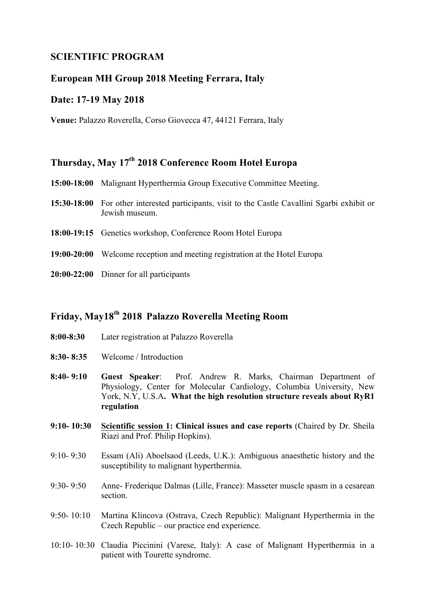## **SCIENTIFIC PROGRAM**

### **European MH Group 2018 Meeting Ferrara, Italy**

#### **Date: 17-19 May 2018**

**Venue:** Palazzo Roverella, Corso Giovecca 47, 44121 Ferrara, Italy

# **Thursday, May 17th 2018 Conference Room Hotel Europa**

- **15:00-18:00** Malignant Hyperthermia Group Executive Committee Meeting.
- **15:30-18:00** For other interested participants, visit to the Castle Cavallini Sgarbi exhibit or Jewish museum.
- **18:00-19:15** Genetics workshop, Conference Room Hotel Europa
- **19:00-20:00** Welcome reception and meeting registration at the Hotel Europa
- **20:00-22:00** Dinner for all participants

# **Friday, May18th 2018 Palazzo Roverella Meeting Room**

- **8:00-8:30** Later registration at Palazzo Roverella
- **8:30- 8:35** Welcome / Introduction
- **8:40- 9:10 Guest Speaker**: Prof. Andrew R. Marks, Chairman Department of Physiology, Center for Molecular Cardiology, Columbia University, New York, N.Y, U.S.A**. What the high resolution structure reveals about RyR1 regulation**
- **9:10- 10:30 Scientific session 1: Clinical issues and case reports** (Chaired by Dr. Sheila Riazi and Prof. Philip Hopkins).
- 9:10- 9:30 Essam (Ali) Aboelsaod (Leeds, U.K.): Ambiguous anaesthetic history and the susceptibility to malignant hyperthermia.
- 9:30- 9:50 Anne- Frederique Dalmas (Lille, France): Masseter muscle spasm in a cesarean section.
- 9:50- 10:10 Martina Klincova (Ostrava, Czech Republic): Malignant Hyperthermia in the Czech Republic – our practice end experience.
- 10:10- 10:30 Claudia Piccinini (Varese, Italy): A case of Malignant Hyperthermia in a patient with Tourette syndrome.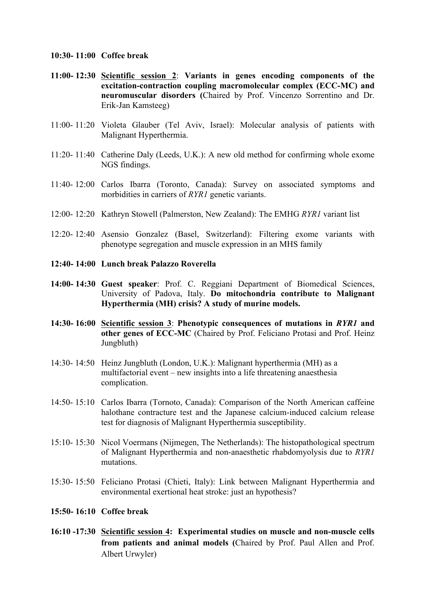- **10:30- 11:00 Coffee break**
- **11:00- 12:30 Scientific session 2**: **Variants in genes encoding components of the excitation-contraction coupling macromolecular complex (ECC-MC) and neuromuscular disorders (**Chaired by Prof. Vincenzo Sorrentino and Dr. Erik-Jan Kamsteeg)
- 11:00- 11:20 Violeta Glauber (Tel Aviv, Israel): Molecular analysis of patients with Malignant Hyperthermia.
- 11:20- 11:40 Catherine Daly (Leeds, U.K.): A new old method for confirming whole exome NGS findings.
- 11:40- 12:00 Carlos Ibarra (Toronto, Canada): Survey on associated symptoms and morbidities in carriers of *RYR1* genetic variants.
- 12:00- 12:20 Kathryn Stowell (Palmerston, New Zealand): The EMHG *RYR1* variant list
- 12:20- 12:40 Asensio Gonzalez (Basel, Switzerland): Filtering exome variants with phenotype segregation and muscle expression in an MHS family
- **12:40- 14:00 Lunch break Palazzo Roverella**
- **14:00- 14:30 Guest speaker**: Prof. C. Reggiani Department of Biomedical Sciences, University of Padova, Italy. **Do mitochondria contribute to Malignant Hyperthermia (MH) crisis? A study of murine models.**
- **14:30- 16:00 Scientific session 3**: **Phenotypic consequences of mutations in** *RYR1* **and other genes of ECC-MC** (Chaired by Prof. Feliciano Protasi and Prof. Heinz Jungbluth)
- 14:30- 14:50 Heinz Jungbluth (London, U.K.): Malignant hyperthermia (MH) as a multifactorial event – new insights into a life threatening anaesthesia complication.
- 14:50- 15:10 Carlos Ibarra (Tornoto, Canada): Comparison of the North American caffeine halothane contracture test and the Japanese calcium-induced calcium release test for diagnosis of Malignant Hyperthermia susceptibility.
- 15:10- 15:30 Nicol Voermans (Nijmegen, The Netherlands): The histopathological spectrum of Malignant Hyperthermia and non-anaesthetic rhabdomyolysis due to *RYR1*  mutations.
- 15:30- 15:50 Feliciano Protasi (Chieti, Italy): Link between Malignant Hyperthermia and environmental exertional heat stroke: just an hypothesis?
- **15:50- 16:10 Coffee break**
- **16:10 -17:30 Scientific session 4: Experimental studies on muscle and non-muscle cells from patients and animal models (**Chaired by Prof. Paul Allen and Prof. Albert Urwyler)